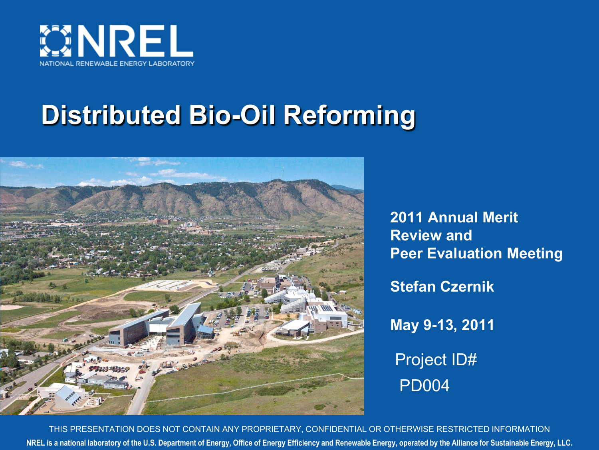

# **Distributed Bio-Oil Reforming**



**2011 Annual Merit Review and Peer Evaluation Meeting Stefan Czernik May 9-13, 2011** Project ID# PD004

**NREL is a national laboratory of the U.S. Department of Energy, Office of Energy Efficiency and Renewable Energy, operated by the Alliance for Sustainable Energy, LLC.** THIS PRESENTATION DOES NOT CONTAIN ANY PROPRIETARY, CONFIDENTIAL OR OTHERWISE RESTRICTED INFORMATION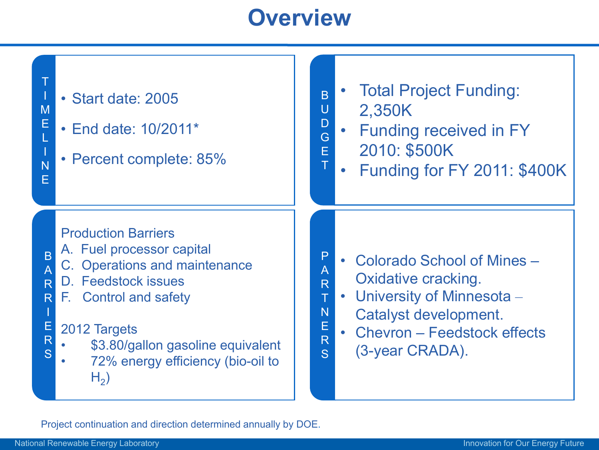#### **Overview**

U D

T

T N E R S

I

S

#### • Start date: 2005

- End date: 10/2011\*
- Percent complete: 85%
- B • Total Project Funding:
	- 2,350K
- G E Funding received in FY
	- 2010: \$500K
	- Funding for FY 2011: \$400K

#### Production Barriers

- A. Fuel processor capital
- B A C. Operations and maintenance
- R D. Feedstock issues
- R F. Control and safety

#### E R 2012 Targets

- \$3.80/gallon gasoline equivalent
- 72% energy efficiency (bio-oil to  $H<sub>2</sub>$ )
- P A R • Colorado School of Mines – Oxidative cracking.
	- University of Minnesota Catalyst development.
	- Chevron Feedstock effects (3-year CRADA).

Project continuation and direction determined annually by DOE.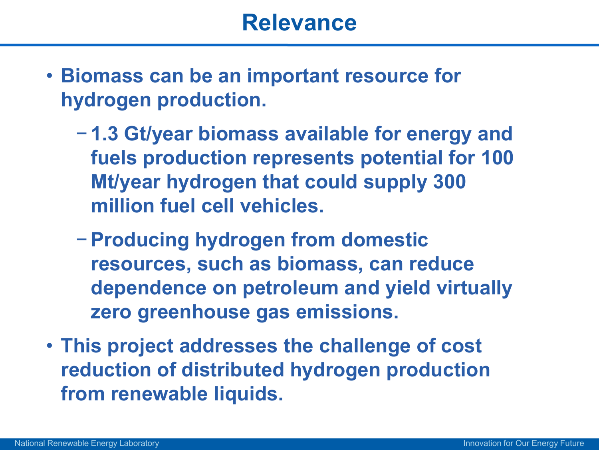- **Biomass can be an important resource for hydrogen production.**
	- − **1.3 Gt/year biomass available for energy and fuels production represents potential for 100 Mt/year hydrogen that could supply 300 million fuel cell vehicles.**
	- −**Producing hydrogen from domestic resources, such as biomass, can reduce dependence on petroleum and yield virtually zero greenhouse gas emissions.**
- **This project addresses the challenge of cost reduction of distributed hydrogen production from renewable liquids.**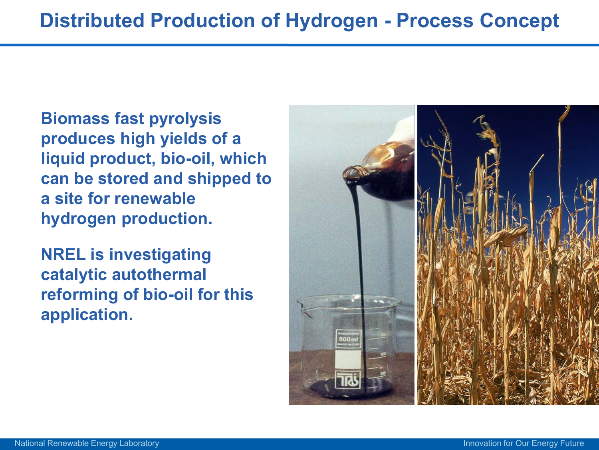**Biomass fast pyrolysis produces high yields of a liquid product, bio-oil, which can be stored and shipped to a site for renewable hydrogen production.** 

**NREL is investigating catalytic autothermal reforming of bio-oil for this application.**

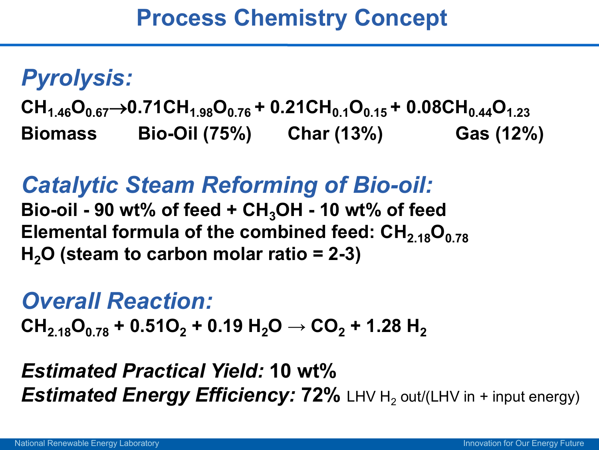# *Pyrolysis:*

 $CH_{1.46}O_{0.67}$   $\rightarrow$  0.71CH<sub>1.98</sub>O<sub>0.76</sub> + 0.21CH<sub>0.1</sub>O<sub>0.15</sub> + 0.08CH<sub>0.44</sub>O<sub>1.23</sub> **Biomass Bio-Oil (75%) Char (13%) Gas (12%)**

# *Catalytic Steam Reforming of Bio-oil:*

**Bio-oil - 90 wt% of feed + CH3OH - 10 wt% of feed**  Elemental formula of the combined feed: CH<sub>2.18</sub>O<sub>0.78</sub> **H2O (steam to carbon molar ratio = 2-3)**

## *Overall Reaction:*

 $CH_{2,18}O_{0,78}$  **+** 0.51O<sub>2</sub> **+** 0.19 H<sub>2</sub>O  $\rightarrow$  CO<sub>2</sub> + 1.28 H<sub>2</sub>

#### *Estimated Practical Yield:* **10 wt%**  *Estimated Energy Efficiency:* **72%** LHV H<sub>2</sub> out/(LHV in + input energy)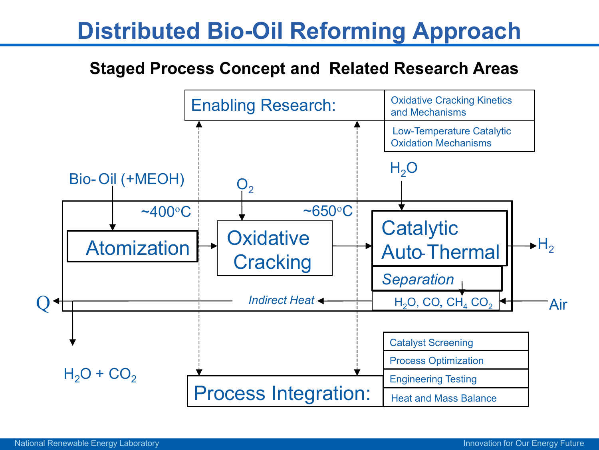## **Distributed Bio-Oil Reforming Approach**

#### **Staged Process Concept and Related Research Areas**

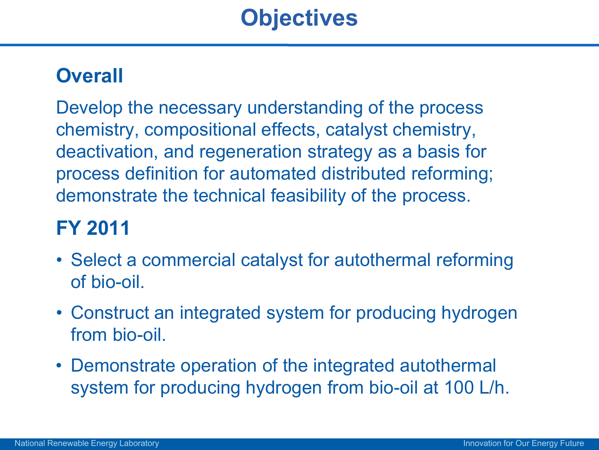#### **Overall**

Develop the necessary understanding of the process chemistry, compositional effects, catalyst chemistry, deactivation, and regeneration strategy as a basis for process definition for automated distributed reforming; demonstrate the technical feasibility of the process.

#### **FY 2011**

- Select a commercial catalyst for autothermal reforming of bio-oil.
- Construct an integrated system for producing hydrogen from bio-oil.
- Demonstrate operation of the integrated autothermal system for producing hydrogen from bio-oil at 100 L/h.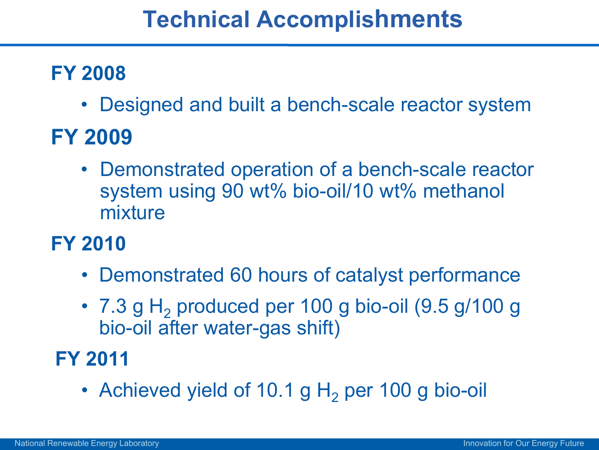## **Technical Accomplishments**

#### **FY 2008**

• Designed and built a bench-scale reactor system

### **FY 2009**

• Demonstrated operation of a bench-scale reactor system using 90 wt% bio-oil/10 wt% methanol mixture

#### **FY 2010**

- Demonstrated 60 hours of catalyst performance
- $7.3$  g H<sub>2</sub> produced per 100 g bio-oil  $(9.5 \text{ g}/100 \text{ g})$ bio-oil after water-gas shift)

#### **FY 2011**

• Achieved yield of 10.1 g  $H_2$  per 100 g bio-oil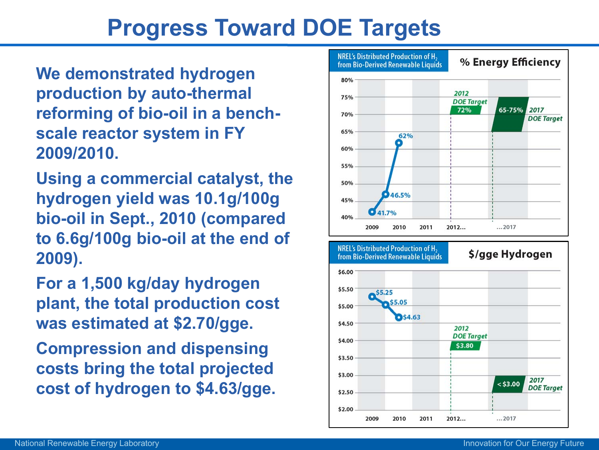## **Progress Toward DOE Targets**

**We demonstrated hydrogen production by auto-thermal reforming of bio-oil in a benchscale reactor system in FY 2009/2010.** 

**Using a commercial catalyst, the hydrogen yield was 10.1g/100g bio-oil in Sept., 2010 (compared to 6.6g/100g bio-oil at the end of 2009).** 

**For a 1,500 kg/day hydrogen plant, the total production cost was estimated at \$2.70/gge.** 

**Compression and dispensing costs bring the total projected cost of hydrogen to \$4.63/gge.**



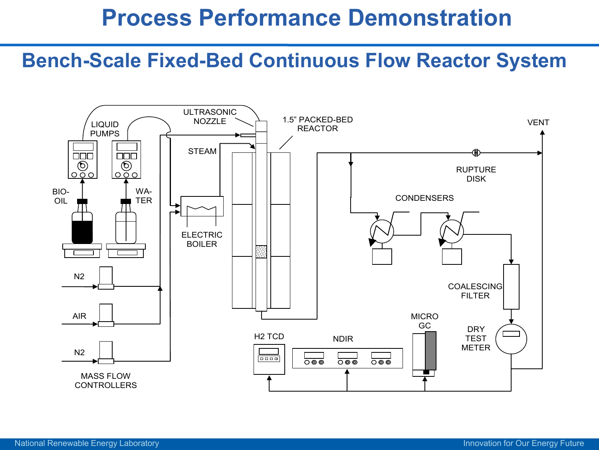#### **Process Performance Demonstration**

#### **Bench-Scale Fixed-Bed Continuous Flow Reactor System**

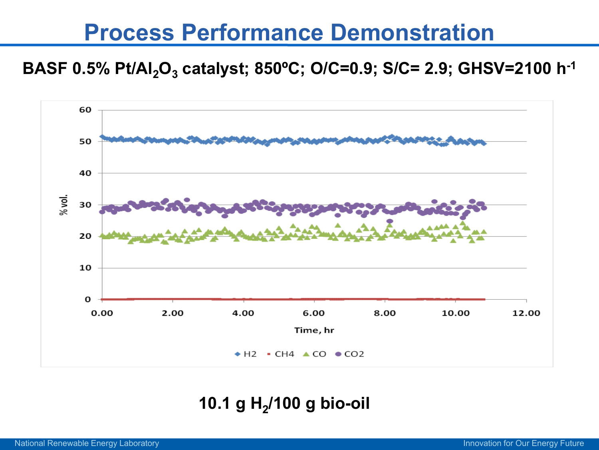#### **Process Performance Demonstration**

#### **BASF 0.5% Pt/Al<sub>2</sub>O<sub>3</sub> catalyst; 850°C; O/C=0.9; S/C= 2.9; GHSV=2100 h<sup>-1</sup>**



#### 10.1 g H<sub>2</sub>/100 g bio-oil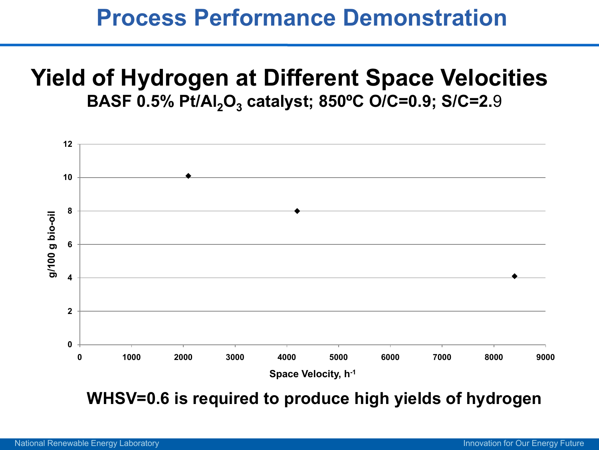#### **Process Performance Demonstration**

#### **Yield of Hydrogen at Different Space Velocities BASF 0.5% Pt/Al<sub>2</sub>O<sub>3</sub> catalyst; 850°C O/C=0.9; S/C=2.9**



**WHSV=0.6 is required to produce high yields of hydrogen**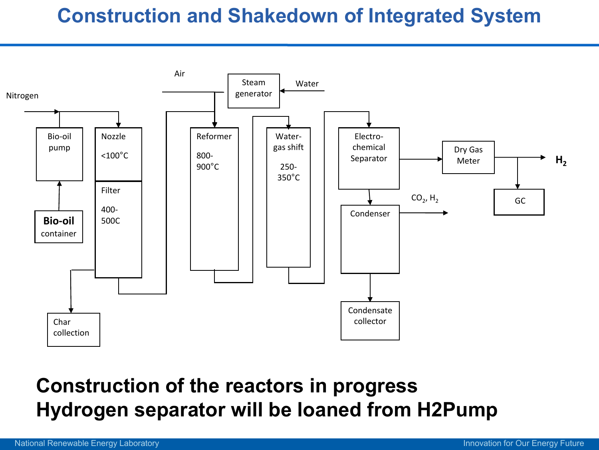#### **Construction and Shakedown of Integrated System**



#### **Construction of the reactors in progress Hydrogen separator will be loaned from H2Pump**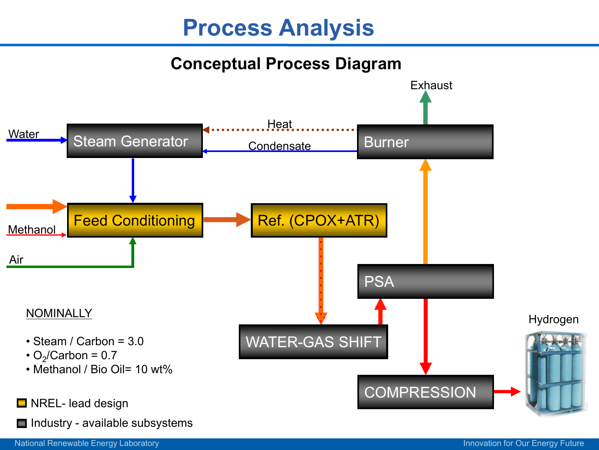#### **Process Analysis**

#### **Conceptual Process Diagram**

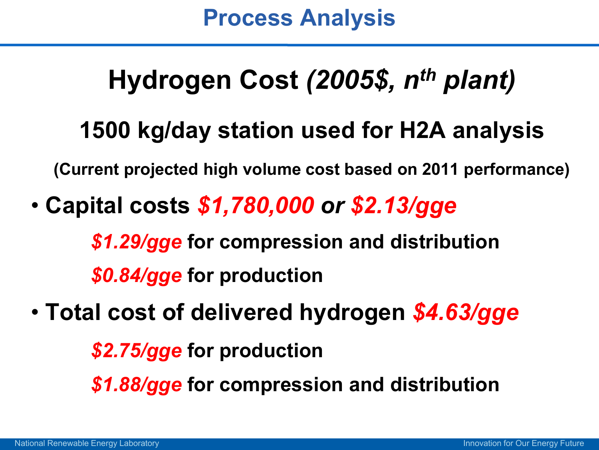# **Hydrogen Cost** *(2005\$, nth plant)*

## **1500 kg/day station used for H2A analysis**

**(Current projected high volume cost based on 2011 performance)**

• **Capital costs** *\$1,780,000 or \$2.13/gge*

*\$1.29/gge* **for compression and distribution**  *\$0.84/gge* **for production**

• **Total cost of delivered hydrogen** *\$4.63/gge*

*\$2.75/gge* **for production**

*\$1.88/gge* **for compression and distribution**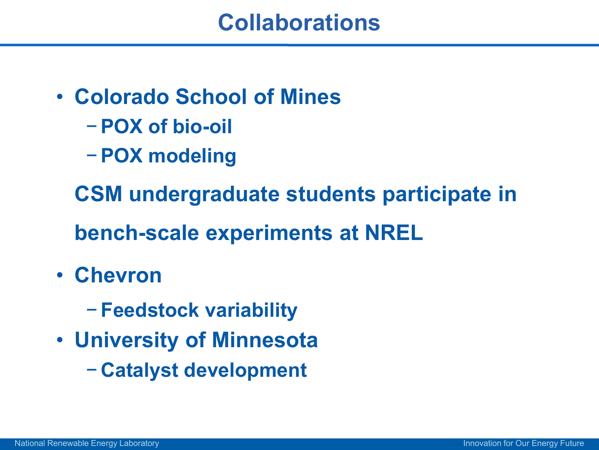- **Colorado School of Mines**
	- −**POX of bio-oil**
	- −**POX modeling**

**CSM undergraduate students participate in bench-scale experiments at NREL**

- **Chevron**
	- − **Feedstock variability**
- **University of Minnesota**
	- − **Catalyst development**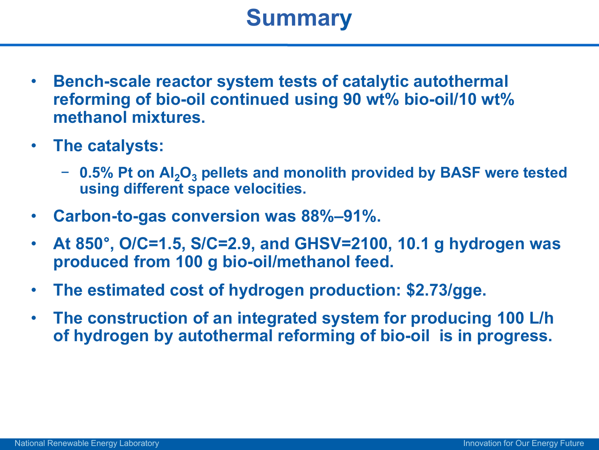### **Summary**

- **Bench-scale reactor system tests of catalytic autothermal reforming of bio-oil continued using 90 wt% bio-oil/10 wt% methanol mixtures.**
- **The catalysts:**
	- − **0.5% Pt on Al2O3 pellets and monolith provided by BASF were tested using different space velocities.**
- **Carbon-to-gas conversion was 88%–91%.**
- **At 850**°**, O/C=1.5, S/C=2.9, and GHSV=2100, 10.1 g hydrogen was produced from 100 g bio-oil/methanol feed.**
- **The estimated cost of hydrogen production: \$2.73/gge.**
- **The construction of an integrated system for producing 100 L/h of hydrogen by autothermal reforming of bio-oil is in progress.**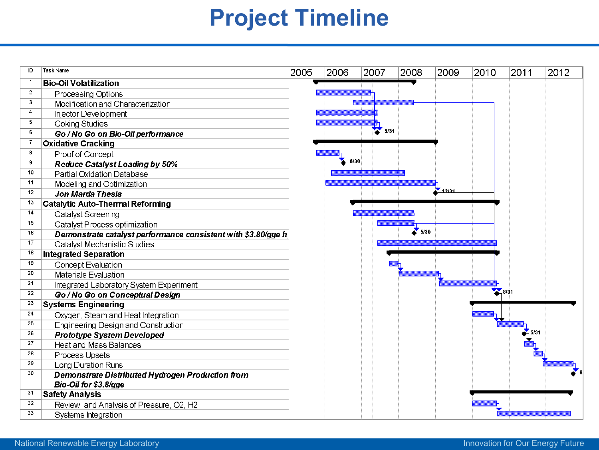## **Project Timeline**

| D               | <b>Task Name</b>                                              | 2005 | 2006 | 2007 | 2008 | 2009  | 2010 | 2011 | 2012 |
|-----------------|---------------------------------------------------------------|------|------|------|------|-------|------|------|------|
| -1              | <b>Bio-Oil Volatilization</b>                                 |      |      |      |      |       |      |      |      |
| $\overline{2}$  | Processing Options                                            |      |      |      |      |       |      |      |      |
| 3               | Modification and Characterization                             |      |      |      |      |       |      |      |      |
| 4               | Injector Development                                          |      |      |      |      |       |      |      |      |
| 5               | <b>Coking Studies</b>                                         |      |      |      |      |       |      |      |      |
| 6               | Go / No Go on Bio-Oil performance                             |      |      | 5/31 |      |       |      |      |      |
| 7               | <b>Oxidative Cracking</b>                                     |      |      |      |      |       |      |      |      |
| 8               | Proof of Concept                                              |      |      |      |      |       |      |      |      |
| 9               | <b>Reduce Catalyst Loading by 50%</b>                         |      | 6/30 |      |      |       |      |      |      |
| 10              | Partial Oxidation Database                                    |      |      |      |      |       |      |      |      |
| 11              | Modeling and Optimization                                     |      |      |      |      |       |      |      |      |
| 12              | Jon Marda Thesis                                              |      |      |      |      | 12:31 |      |      |      |
| 13              | <b>Catalytic Auto-Thermal Reforming</b>                       |      |      |      |      |       |      |      |      |
| 14              | Catalyst Screening                                            |      |      |      |      |       |      |      |      |
| 15              | Catalyst Process optimization                                 |      |      |      |      |       |      |      |      |
| 16              | Demonstrate catalyst performance consistent with \$3.80/gge h |      |      |      | 5/30 |       |      |      |      |
| 17              | Catalyst Mechanistic Studies                                  |      |      |      |      |       |      |      |      |
| 18              | <b>Integrated Separation</b>                                  |      |      |      |      |       |      |      |      |
| 19              | <b>Concept Evaluation</b>                                     |      |      |      |      |       |      |      |      |
| 20              | Materials Evaluation                                          |      |      |      |      |       |      |      |      |
| 21              | Integrated Laboratory System Experiment                       |      |      |      |      |       |      |      |      |
| 22              | Go / No Go on Conceptual Design                               |      |      |      |      |       |      | 3/31 |      |
| 23              | <b>Systems Engineering</b>                                    |      |      |      |      |       |      |      |      |
| $\overline{24}$ | Oxygen, Steam and Heat Integration                            |      |      |      |      |       |      |      |      |
| 25              | Engineering Design and Construction                           |      |      |      |      |       |      |      |      |
| 26              | <b>Prototype System Developed</b>                             |      |      |      |      |       |      |      |      |
| 27              | <b>Heat and Mass Balances</b>                                 |      |      |      |      |       |      |      |      |
| 28              | Process Upsets                                                |      |      |      |      |       |      |      |      |
| 29              | Long Duration Runs                                            |      |      |      |      |       |      |      |      |
| 30              | Demonstrate Distributed Hydrogen Production from              |      |      |      |      |       |      |      |      |
|                 | Bio-Oil for \$3.8/gge                                         |      |      |      |      |       |      |      |      |
| 31              | <b>Safety Analysis</b>                                        |      |      |      |      |       |      |      |      |
| 32              | Review and Analysis of Pressure, O2, H2                       |      |      |      |      |       |      |      |      |
| 33              | Systems Integration                                           |      |      |      |      |       |      |      |      |